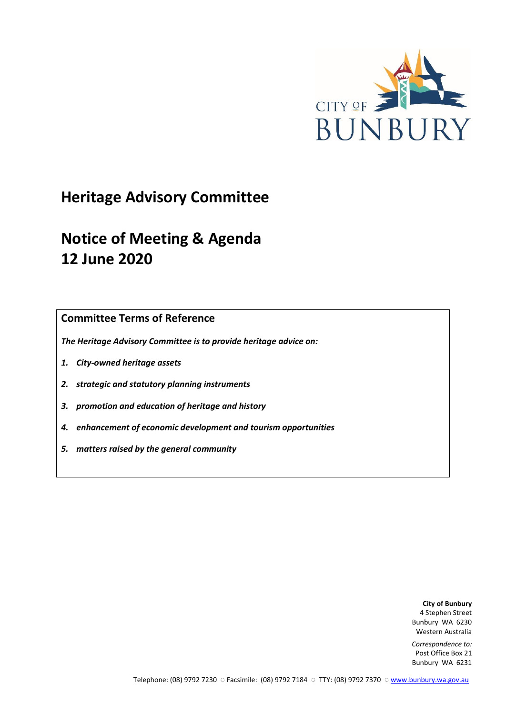

# **Heritage Advisory Committee**

# **Notice of Meeting & Agenda 12 June 2020**

**Committee Terms of Reference**

*The Heritage Advisory Committee is to provide heritage advice on:*

- *1. City-owned heritage assets*
- *2. strategic and statutory planning instruments*
- *3. promotion and education of heritage and history*
- *4. enhancement of economic development and tourism opportunities*
- *5. matters raised by the general community*

**City of Bunbury** 4 Stephen Street Bunbury WA 6230 Western Australia

*Correspondence to:* Post Office Box 21 Bunbury WA 6231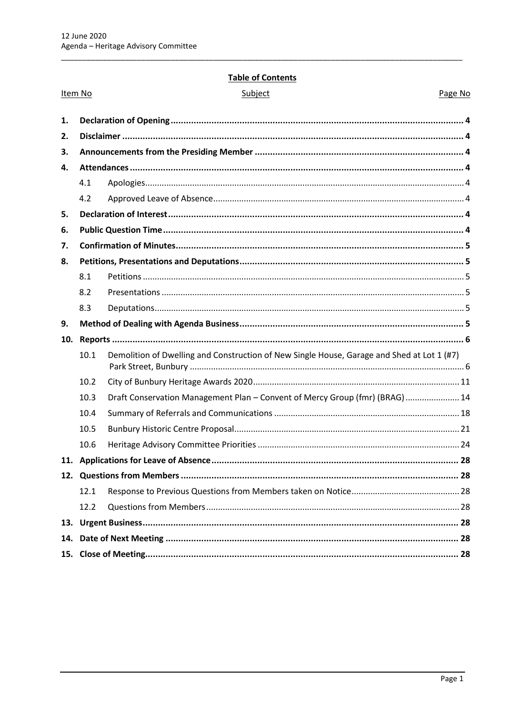Item No

# **Table of Contents**

| subiec |
|--------|
|--------|

Page No

| 4.1  |                                                                                            |  |
|------|--------------------------------------------------------------------------------------------|--|
| 4.2  |                                                                                            |  |
|      |                                                                                            |  |
|      |                                                                                            |  |
|      |                                                                                            |  |
|      |                                                                                            |  |
| 8.1  |                                                                                            |  |
| 8.2  |                                                                                            |  |
| 8.3  |                                                                                            |  |
|      |                                                                                            |  |
|      |                                                                                            |  |
|      |                                                                                            |  |
| 10.1 | Demolition of Dwelling and Construction of New Single House, Garage and Shed at Lot 1 (#7) |  |
| 10.2 |                                                                                            |  |
| 10.3 | Draft Conservation Management Plan - Convent of Mercy Group (fmr) (BRAG)  14               |  |
| 10.4 |                                                                                            |  |
| 10.5 |                                                                                            |  |
| 10.6 |                                                                                            |  |
|      |                                                                                            |  |
|      |                                                                                            |  |
| 12.1 |                                                                                            |  |
| 12.2 |                                                                                            |  |
|      |                                                                                            |  |
|      |                                                                                            |  |
|      |                                                                                            |  |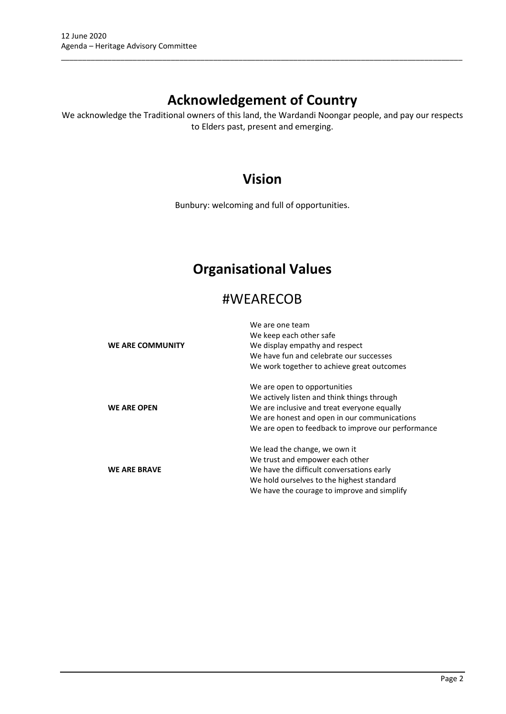# **Acknowledgement of Country**

\_\_\_\_\_\_\_\_\_\_\_\_\_\_\_\_\_\_\_\_\_\_\_\_\_\_\_\_\_\_\_\_\_\_\_\_\_\_\_\_\_\_\_\_\_\_\_\_\_\_\_\_\_\_\_\_\_\_\_\_\_\_\_\_\_\_\_\_\_\_\_\_\_\_\_\_\_\_\_\_\_\_\_\_\_\_\_\_\_\_\_\_\_\_\_

We acknowledge the Traditional owners of this land, the Wardandi Noongar people, and pay our respects to Elders past, present and emerging.

# **Vision**

Bunbury: welcoming and full of opportunities.

# **Organisational Values**

# #WEARECOB

|                     | We are one team                                    |
|---------------------|----------------------------------------------------|
|                     | We keep each other safe                            |
| WE ARE COMMUNITY    | We display empathy and respect                     |
|                     | We have fun and celebrate our successes            |
|                     | We work together to achieve great outcomes         |
|                     | We are open to opportunities                       |
|                     | We actively listen and think things through        |
| <b>WE ARE OPEN</b>  | We are inclusive and treat everyone equally        |
|                     | We are honest and open in our communications       |
|                     | We are open to feedback to improve our performance |
|                     | We lead the change, we own it                      |
|                     | We trust and empower each other                    |
| <b>WE ARE BRAVE</b> | We have the difficult conversations early          |
|                     | We hold ourselves to the highest standard          |
|                     | We have the courage to improve and simplify        |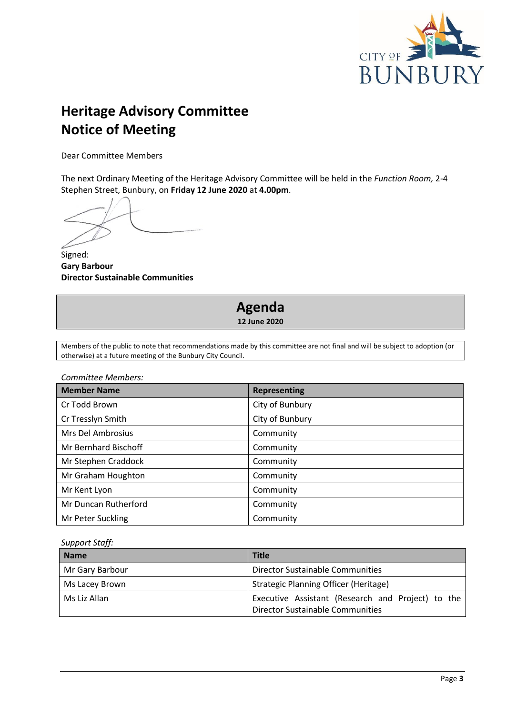

# **Heritage Advisory Committee Notice of Meeting**

Dear Committee Members

The next Ordinary Meeting of the Heritage Advisory Committee will be held in the *Function Room,* 2-4 Stephen Street, Bunbury, on **Friday 12 June 2020** at **4.00pm**.

Signed: **Gary Barbour Director Sustainable Communities**

# **Agenda 12 June 2020**

Members of the public to note that recommendations made by this committee are not final and will be subject to adoption (or otherwise) at a future meeting of the Bunbury City Council.

*Committee Members:*

| <b>Member Name</b>   | <b>Representing</b> |
|----------------------|---------------------|
| Cr Todd Brown        | City of Bunbury     |
| Cr Tresslyn Smith    | City of Bunbury     |
| Mrs Del Ambrosius    | Community           |
| Mr Bernhard Bischoff | Community           |
| Mr Stephen Craddock  | Community           |
| Mr Graham Houghton   | Community           |
| Mr Kent Lyon         | Community           |
| Mr Duncan Rutherford | Community           |
| Mr Peter Suckling    | Community           |

*Support Staff:*

| <b>Name</b>     | <b>Title</b>                                                                          |
|-----------------|---------------------------------------------------------------------------------------|
| Mr Gary Barbour | Director Sustainable Communities                                                      |
| Ms Lacey Brown  | Strategic Planning Officer (Heritage)                                                 |
| Ms Liz Allan    | Executive Assistant (Research and Project) to the<br>Director Sustainable Communities |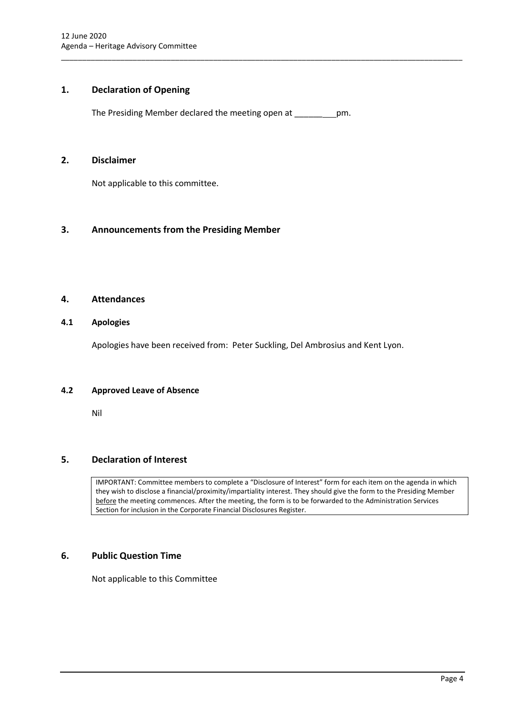# <span id="page-4-0"></span>**1. Declaration of Opening**

The Presiding Member declared the meeting open at \_\_\_\_\_\_ pm.

\_\_\_\_\_\_\_\_\_\_\_\_\_\_\_\_\_\_\_\_\_\_\_\_\_\_\_\_\_\_\_\_\_\_\_\_\_\_\_\_\_\_\_\_\_\_\_\_\_\_\_\_\_\_\_\_\_\_\_\_\_\_\_\_\_\_\_\_\_\_\_\_\_\_\_\_\_\_\_\_\_\_\_\_\_\_\_\_\_\_\_\_\_\_\_

# <span id="page-4-1"></span>**2. Disclaimer**

Not applicable to this committee.

# <span id="page-4-2"></span>**3. Announcements from the Presiding Member**

# <span id="page-4-3"></span>**4. Attendances**

# <span id="page-4-4"></span>**4.1 Apologies**

Apologies have been received from: Peter Suckling, Del Ambrosius and Kent Lyon.

### <span id="page-4-5"></span>**4.2 Approved Leave of Absence**

Nil

# <span id="page-4-6"></span>**5. Declaration of Interest**

IMPORTANT: Committee members to complete a "Disclosure of Interest" form for each item on the agenda in which they wish to disclose a financial/proximity/impartiality interest. They should give the form to the Presiding Member before the meeting commences. After the meeting, the form is to be forwarded to the Administration Services Section for inclusion in the Corporate Financial Disclosures Register.

# <span id="page-4-7"></span>**6. Public Question Time**

Not applicable to this Committee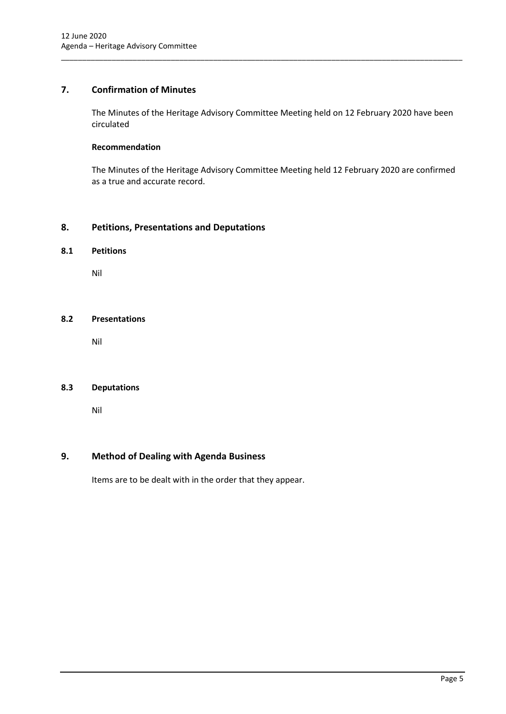# <span id="page-5-0"></span>**7. Confirmation of Minutes**

The Minutes of the Heritage Advisory Committee Meeting held on 12 February 2020 have been circulated

\_\_\_\_\_\_\_\_\_\_\_\_\_\_\_\_\_\_\_\_\_\_\_\_\_\_\_\_\_\_\_\_\_\_\_\_\_\_\_\_\_\_\_\_\_\_\_\_\_\_\_\_\_\_\_\_\_\_\_\_\_\_\_\_\_\_\_\_\_\_\_\_\_\_\_\_\_\_\_\_\_\_\_\_\_\_\_\_\_\_\_\_\_\_\_

# **Recommendation**

The Minutes of the Heritage Advisory Committee Meeting held 12 February 2020 are confirmed as a true and accurate record.

# <span id="page-5-1"></span>**8. Petitions, Presentations and Deputations**

# <span id="page-5-2"></span>**8.1 Petitions**

Nil

### <span id="page-5-3"></span>**8.2 Presentations**

Nil

# <span id="page-5-4"></span>**8.3 Deputations**

Nil

# <span id="page-5-5"></span>**9. Method of Dealing with Agenda Business**

Items are to be dealt with in the order that they appear.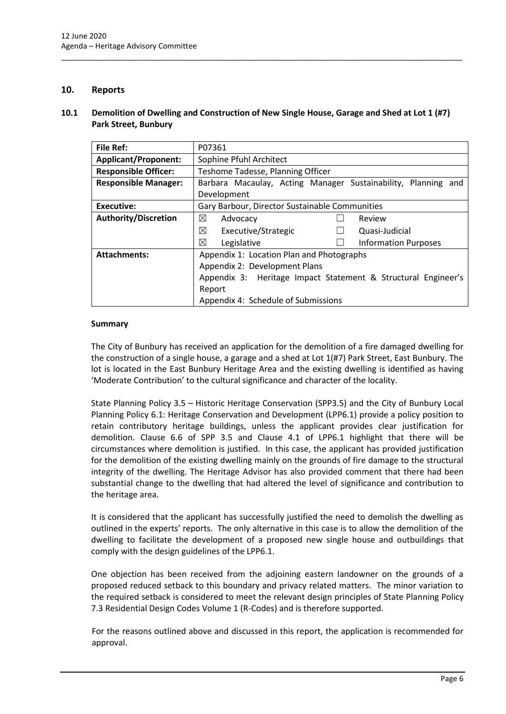# <span id="page-6-0"></span>**10. Reports**

## <span id="page-6-1"></span>**10.1 Demolition of Dwelling and Construction of New Single House, Garage and Shed at Lot 1 (#7) Park Street, Bunbury**

\_\_\_\_\_\_\_\_\_\_\_\_\_\_\_\_\_\_\_\_\_\_\_\_\_\_\_\_\_\_\_\_\_\_\_\_\_\_\_\_\_\_\_\_\_\_\_\_\_\_\_\_\_\_\_\_\_\_\_\_\_\_\_\_\_\_\_\_\_\_\_\_\_\_\_\_\_\_\_\_\_\_\_\_\_\_\_\_\_\_\_\_\_\_\_

| File Ref:                   | P07361                                                        |
|-----------------------------|---------------------------------------------------------------|
| <b>Applicant/Proponent:</b> | Sophine Pfuhl Architect                                       |
| <b>Responsible Officer:</b> | Teshome Tadesse, Planning Officer                             |
| <b>Responsible Manager:</b> | Barbara Macaulay, Acting Manager Sustainability, Planning and |
|                             | Development                                                   |
| Executive:                  | Gary Barbour, Director Sustainable Communities                |
| Authority/Discretion        | ⊠<br>Advocacy<br>Review                                       |
|                             | ⊠<br>Executive/Strategic<br>Quasi-Judicial                    |
|                             | ⊠<br>Legislative<br><b>Information Purposes</b>               |
| <b>Attachments:</b>         | Appendix 1: Location Plan and Photographs                     |
|                             | Appendix 2: Development Plans                                 |
|                             | Appendix 3: Heritage Impact Statement & Structural Engineer's |
|                             | Report                                                        |
|                             | Appendix 4: Schedule of Submissions                           |

### **Summary**

The City of Bunbury has received an application for the demolition of a fire damaged dwelling for the construction of a single house, a garage and a shed at Lot 1(#7) Park Street, East Bunbury. The lot is located in the East Bunbury Heritage Area and the existing dwelling is identified as having 'Moderate Contribution' to the cultural significance and character of the locality.

State Planning Policy 3.5 – Historic Heritage Conservation (SPP3.5) and the City of Bunbury Local Planning Policy 6.1: Heritage Conservation and Development (LPP6.1) provide a policy position to retain contributory heritage buildings, unless the applicant provides clear justification for demolition. Clause 6.6 of SPP 3.5 and Clause 4.1 of LPP6.1 highlight that there will be circumstances where demolition is justified. In this case, the applicant has provided justification for the demolition of the existing dwelling mainly on the grounds of fire damage to the structural integrity of the dwelling. The Heritage Advisor has also provided comment that there had been substantial change to the dwelling that had altered the level of significance and contribution to the heritage area.

It is considered that the applicant has successfully justified the need to demolish the dwelling as outlined in the experts' reports. The only alternative in this case is to allow the demolition of the dwelling to facilitate the development of a proposed new single house and outbuildings that comply with the design guidelines of the LPP6.1.

One objection has been received from the adjoining eastern landowner on the grounds of a proposed reduced setback to this boundary and privacy related matters. The minor variation to the required setback is considered to meet the relevant design principles of State Planning Policy 7.3 Residential Design Codes Volume 1 (R-Codes) and is therefore supported.

For the reasons outlined above and discussed in this report, the application is recommended for approval.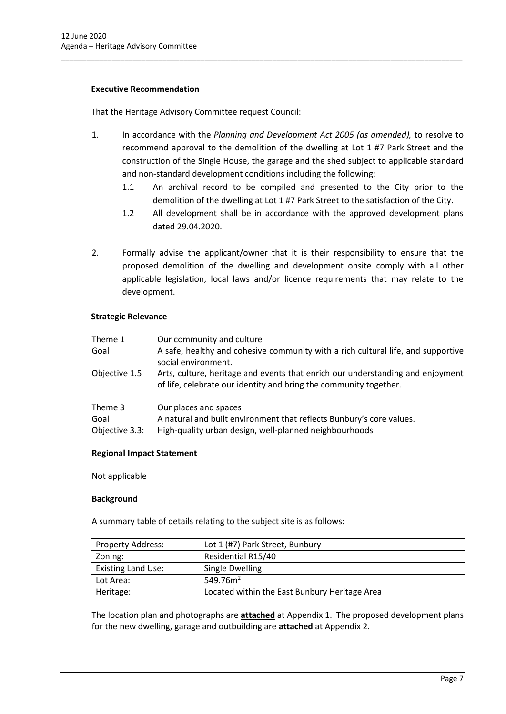# **Executive Recommendation**

That the Heritage Advisory Committee request Council:

1. In accordance with the *Planning and Development Act 2005 (as amended),* to resolve to recommend approval to the demolition of the dwelling at Lot 1 #7 Park Street and the construction of the Single House, the garage and the shed subject to applicable standard and non-standard development conditions including the following:

\_\_\_\_\_\_\_\_\_\_\_\_\_\_\_\_\_\_\_\_\_\_\_\_\_\_\_\_\_\_\_\_\_\_\_\_\_\_\_\_\_\_\_\_\_\_\_\_\_\_\_\_\_\_\_\_\_\_\_\_\_\_\_\_\_\_\_\_\_\_\_\_\_\_\_\_\_\_\_\_\_\_\_\_\_\_\_\_\_\_\_\_\_\_\_

- 1.1 An archival record to be compiled and presented to the City prior to the demolition of the dwelling at Lot 1 #7 Park Street to the satisfaction of the City.
- 1.2 All development shall be in accordance with the approved development plans dated 29.04.2020.
- 2. Formally advise the applicant/owner that it is their responsibility to ensure that the proposed demolition of the dwelling and development onsite comply with all other applicable legislation, local laws and/or licence requirements that may relate to the development.

# **Strategic Relevance**

| Theme 1<br>Goal                   | Our community and culture<br>A safe, healthy and cohesive community with a rich cultural life, and supportive<br>social environment.                    |
|-----------------------------------|---------------------------------------------------------------------------------------------------------------------------------------------------------|
| Objective 1.5                     | Arts, culture, heritage and events that enrich our understanding and enjoyment<br>of life, celebrate our identity and bring the community together.     |
| Theme 3<br>Goal<br>Objective 3.3: | Our places and spaces<br>A natural and built environment that reflects Bunbury's core values.<br>High-quality urban design, well-planned neighbourhoods |

### **Regional Impact Statement**

Not applicable

### **Background**

A summary table of details relating to the subject site is as follows:

| <b>Property Address:</b>  | Lot 1 (#7) Park Street, Bunbury               |
|---------------------------|-----------------------------------------------|
| Zoning:                   | Residential R15/40                            |
| <b>Existing Land Use:</b> | Single Dwelling                               |
| Lot Area:                 | 549.76 $m2$                                   |
| Heritage:                 | Located within the East Bunbury Heritage Area |

The location plan and photographs are **attached** at Appendix 1. The proposed development plans for the new dwelling, garage and outbuilding are **attached** at Appendix 2.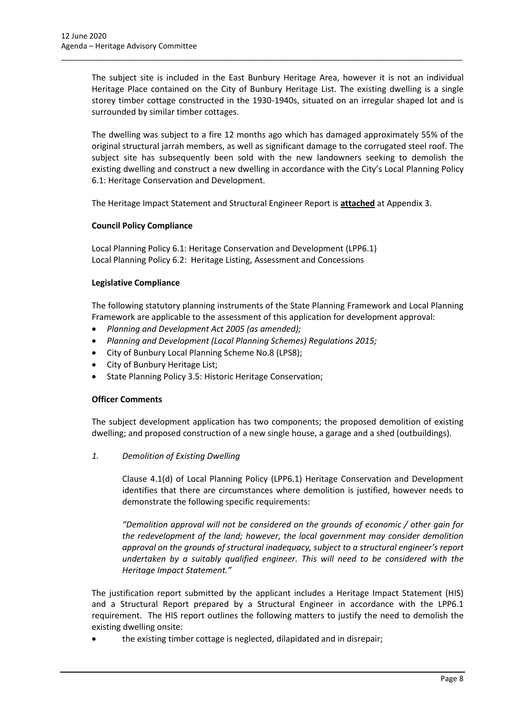The subject site is included in the East Bunbury Heritage Area, however it is not an individual Heritage Place contained on the City of Bunbury Heritage List. The existing dwelling is a single storey timber cottage constructed in the 1930-1940s, situated on an irregular shaped lot and is surrounded by similar timber cottages.

\_\_\_\_\_\_\_\_\_\_\_\_\_\_\_\_\_\_\_\_\_\_\_\_\_\_\_\_\_\_\_\_\_\_\_\_\_\_\_\_\_\_\_\_\_\_\_\_\_\_\_\_\_\_\_\_\_\_\_\_\_\_\_\_\_\_\_\_\_\_\_\_\_\_\_\_\_\_\_\_\_\_\_\_\_\_\_\_\_\_\_\_\_\_\_

The dwelling was subject to a fire 12 months ago which has damaged approximately 55% of the original structural jarrah members, as well as significant damage to the corrugated steel roof. The subject site has subsequently been sold with the new landowners seeking to demolish the existing dwelling and construct a new dwelling in accordance with the City's Local Planning Policy 6.1: Heritage Conservation and Development.

The Heritage Impact Statement and Structural Engineer Report is **attached** at Appendix 3.

# **Council Policy Compliance**

Local Planning Policy 6.1: Heritage Conservation and Development (LPP6.1) Local Planning Policy 6.2: Heritage Listing, Assessment and Concessions

### **Legislative Compliance**

The following statutory planning instruments of the State Planning Framework and Local Planning Framework are applicable to the assessment of this application for development approval:

- *Planning and Development Act 2005 (as amended);*
- *Planning and Development (Local Planning Schemes) Regulations 2015;*
- City of Bunbury Local Planning Scheme No.8 (LPS8);
- City of Bunbury Heritage List;
- State Planning Policy 3.5: Historic Heritage Conservation;

### **Officer Comments**

The subject development application has two components; the proposed demolition of existing dwelling; and proposed construction of a new single house, a garage and a shed (outbuildings).

*1. Demolition of Existing Dwelling*

Clause 4.1(d) of Local Planning Policy (LPP6.1) Heritage Conservation and Development identifies that there are circumstances where demolition is justified, however needs to demonstrate the following specific requirements:

*"Demolition approval will not be considered on the grounds of economic / other gain for the redevelopment of the land; however, the local government may consider demolition approval on the grounds of structural inadequacy, subject to a structural engineer's report undertaken by a suitably qualified engineer. This will need to be considered with the Heritage Impact Statement."*

The justification report submitted by the applicant includes a Heritage Impact Statement (HIS) and a Structural Report prepared by a Structural Engineer in accordance with the LPP6.1 requirement. The HIS report outlines the following matters to justify the need to demolish the existing dwelling onsite:

• the existing timber cottage is neglected, dilapidated and in disrepair;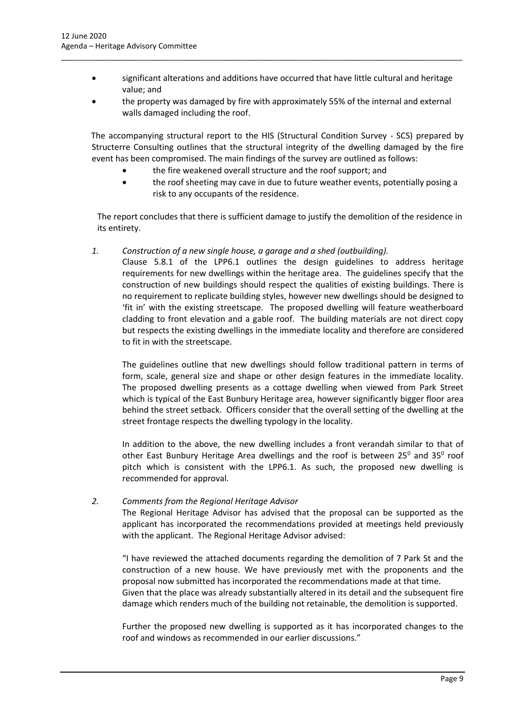• significant alterations and additions have occurred that have little cultural and heritage value; and

\_\_\_\_\_\_\_\_\_\_\_\_\_\_\_\_\_\_\_\_\_\_\_\_\_\_\_\_\_\_\_\_\_\_\_\_\_\_\_\_\_\_\_\_\_\_\_\_\_\_\_\_\_\_\_\_\_\_\_\_\_\_\_\_\_\_\_\_\_\_\_\_\_\_\_\_\_\_\_\_\_\_\_\_\_\_\_\_\_\_\_\_\_\_\_

• the property was damaged by fire with approximately 55% of the internal and external walls damaged including the roof.

The accompanying structural report to the HIS (Structural Condition Survey - SCS) prepared by Structerre Consulting outlines that the structural integrity of the dwelling damaged by the fire event has been compromised. The main findings of the survey are outlined as follows:

- the fire weakened overall structure and the roof support; and
- the roof sheeting may cave in due to future weather events, potentially posing a risk to any occupants of the residence.

The report concludes that there is sufficient damage to justify the demolition of the residence in its entirety.

*1. Construction of a new single house, a garage and a shed (outbuilding).*

Clause 5.8.1 of the LPP6.1 outlines the design guidelines to address heritage requirements for new dwellings within the heritage area. The guidelines specify that the construction of new buildings should respect the qualities of existing buildings. There is no requirement to replicate building styles, however new dwellings should be designed to 'fit in' with the existing streetscape. The proposed dwelling will feature weatherboard cladding to front elevation and a gable roof. The building materials are not direct copy but respects the existing dwellings in the immediate locality and therefore are considered to fit in with the streetscape.

The guidelines outline that new dwellings should follow traditional pattern in terms of form, scale, general size and shape or other design features in the immediate locality. The proposed dwelling presents as a cottage dwelling when viewed from Park Street which is typical of the East Bunbury Heritage area, however significantly bigger floor area behind the street setback. Officers consider that the overall setting of the dwelling at the street frontage respects the dwelling typology in the locality.

In addition to the above, the new dwelling includes a front verandah similar to that of other East Bunbury Heritage Area dwellings and the roof is between 25 $^{\circ}$  and 35 $^{\circ}$  roof pitch which is consistent with the LPP6.1. As such, the proposed new dwelling is recommended for approval.

# *2. Comments from the Regional Heritage Advisor*

The Regional Heritage Advisor has advised that the proposal can be supported as the applicant has incorporated the recommendations provided at meetings held previously with the applicant. The Regional Heritage Advisor advised:

"I have reviewed the attached documents regarding the demolition of 7 Park St and the construction of a new house. We have previously met with the proponents and the proposal now submitted has incorporated the recommendations made at that time. Given that the place was already substantially altered in its detail and the subsequent fire damage which renders much of the building not retainable, the demolition is supported.

Further the proposed new dwelling is supported as it has incorporated changes to the roof and windows as recommended in our earlier discussions."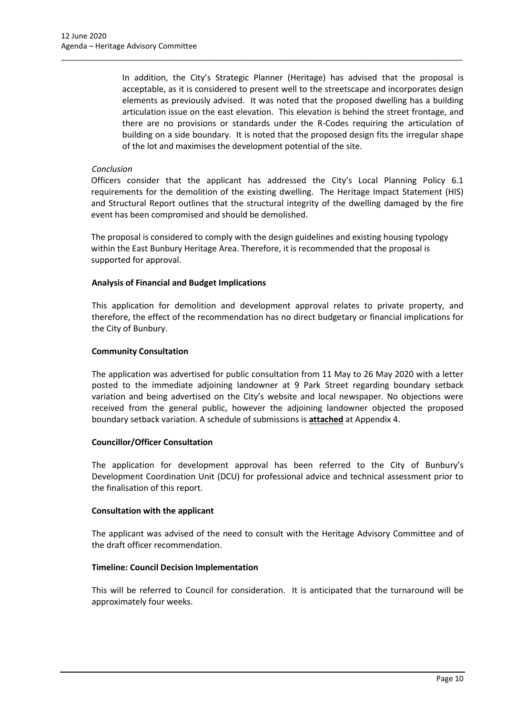In addition, the City's Strategic Planner (Heritage) has advised that the proposal is acceptable, as it is considered to present well to the streetscape and incorporates design elements as previously advised. It was noted that the proposed dwelling has a building articulation issue on the east elevation. This elevation is behind the street frontage, and there are no provisions or standards under the R-Codes requiring the articulation of building on a side boundary. It is noted that the proposed design fits the irregular shape of the lot and maximises the development potential of the site.

\_\_\_\_\_\_\_\_\_\_\_\_\_\_\_\_\_\_\_\_\_\_\_\_\_\_\_\_\_\_\_\_\_\_\_\_\_\_\_\_\_\_\_\_\_\_\_\_\_\_\_\_\_\_\_\_\_\_\_\_\_\_\_\_\_\_\_\_\_\_\_\_\_\_\_\_\_\_\_\_\_\_\_\_\_\_\_\_\_\_\_\_\_\_\_

# *Conclusion*

Officers consider that the applicant has addressed the City's Local Planning Policy 6.1 requirements for the demolition of the existing dwelling. The Heritage Impact Statement (HIS) and Structural Report outlines that the structural integrity of the dwelling damaged by the fire event has been compromised and should be demolished.

The proposal is considered to comply with the design guidelines and existing housing typology within the East Bunbury Heritage Area. Therefore, it is recommended that the proposal is supported for approval.

# **Analysis of Financial and Budget Implications**

This application for demolition and development approval relates to private property, and therefore, the effect of the recommendation has no direct budgetary or financial implications for the City of Bunbury.

# **Community Consultation**

The application was advertised for public consultation from 11 May to 26 May 2020 with a letter posted to the immediate adjoining landowner at 9 Park Street regarding boundary setback variation and being advertised on the City's website and local newspaper. No objections were received from the general public, however the adjoining landowner objected the proposed boundary setback variation. A schedule of submissions is **attached** at Appendix 4.

### **Councillor/Officer Consultation**

The application for development approval has been referred to the City of Bunbury's Development Coordination Unit (DCU) for professional advice and technical assessment prior to the finalisation of this report.

### **Consultation with the applicant**

The applicant was advised of the need to consult with the Heritage Advisory Committee and of the draft officer recommendation.

### **Timeline: Council Decision Implementation**

This will be referred to Council for consideration. It is anticipated that the turnaround will be approximately four weeks.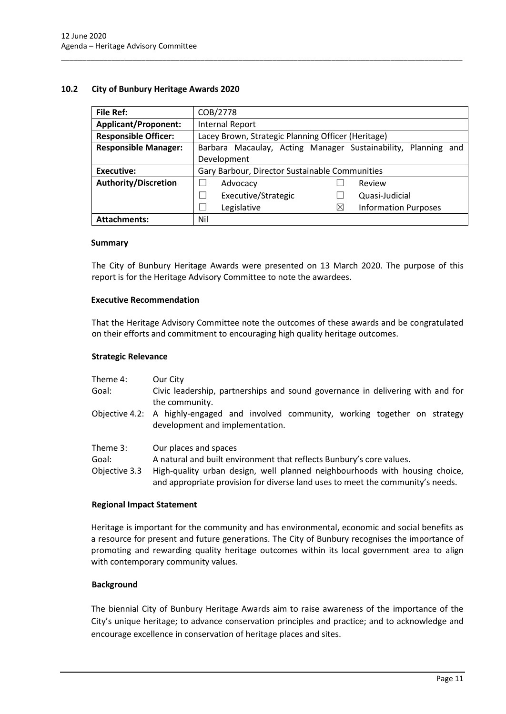# <span id="page-11-0"></span>**10.2 City of Bunbury Heritage Awards 2020**

| <b>File Ref:</b>            | COB/2778                                                         |  |
|-----------------------------|------------------------------------------------------------------|--|
| <b>Applicant/Proponent:</b> | <b>Internal Report</b>                                           |  |
| <b>Responsible Officer:</b> | Lacey Brown, Strategic Planning Officer (Heritage)               |  |
| <b>Responsible Manager:</b> | Barbara Macaulay, Acting Manager Sustainability, Planning<br>and |  |
|                             | Development                                                      |  |
| Executive:                  | Gary Barbour, Director Sustainable Communities                   |  |
| <b>Authority/Discretion</b> | Review<br>Advocacy                                               |  |
|                             | Executive/Strategic<br>Quasi-Judicial                            |  |
|                             | Legislative<br>$\times$<br><b>Information Purposes</b>           |  |
| <b>Attachments:</b>         | Nil                                                              |  |

\_\_\_\_\_\_\_\_\_\_\_\_\_\_\_\_\_\_\_\_\_\_\_\_\_\_\_\_\_\_\_\_\_\_\_\_\_\_\_\_\_\_\_\_\_\_\_\_\_\_\_\_\_\_\_\_\_\_\_\_\_\_\_\_\_\_\_\_\_\_\_\_\_\_\_\_\_\_\_\_\_\_\_\_\_\_\_\_\_\_\_\_\_\_\_

#### **Summary**

The City of Bunbury Heritage Awards were presented on 13 March 2020. The purpose of this report is for the Heritage Advisory Committee to note the awardees.

### **Executive Recommendation**

That the Heritage Advisory Committee note the outcomes of these awards and be congratulated on their efforts and commitment to encouraging high quality heritage outcomes.

#### **Strategic Relevance**

| Theme 4:<br>Goal: | Our City<br>Civic leadership, partnerships and sound governance in delivering with and for                                                                    |  |
|-------------------|---------------------------------------------------------------------------------------------------------------------------------------------------------------|--|
|                   | the community.<br>Objective 4.2: A highly-engaged and involved community, working together on strategy                                                        |  |
|                   | development and implementation.                                                                                                                               |  |
| Theme 3:          | Our places and spaces                                                                                                                                         |  |
| Goal:             | A natural and built environment that reflects Bunbury's core values.                                                                                          |  |
| Objective 3.3     | High-quality urban design, well planned neighbourhoods with housing choice,<br>and appropriate provision for diverse land uses to meet the community's needs. |  |

# **Regional Impact Statement**

Heritage is important for the community and has environmental, economic and social benefits as a resource for present and future generations. The City of Bunbury recognises the importance of promoting and rewarding quality heritage outcomes within its local government area to align with contemporary community values.

### **Background**

The biennial City of Bunbury Heritage Awards aim to raise awareness of the importance of the City's unique heritage; to advance conservation principles and practice; and to acknowledge and encourage excellence in conservation of heritage places and sites.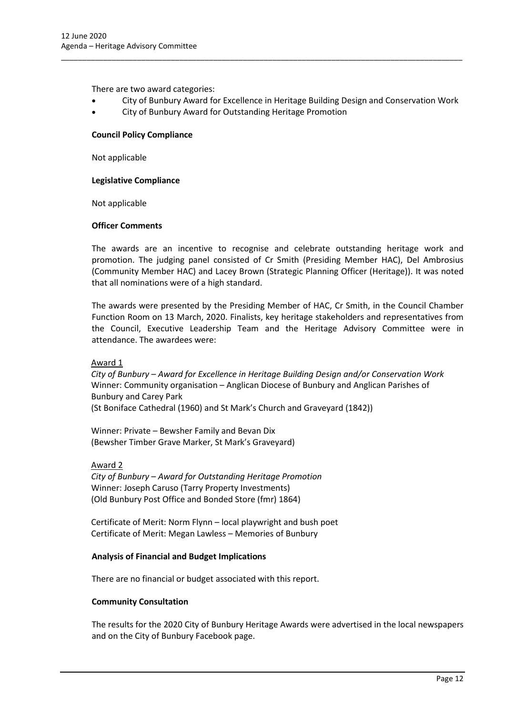There are two award categories:

• City of Bunbury Award for Excellence in Heritage Building Design and Conservation Work

\_\_\_\_\_\_\_\_\_\_\_\_\_\_\_\_\_\_\_\_\_\_\_\_\_\_\_\_\_\_\_\_\_\_\_\_\_\_\_\_\_\_\_\_\_\_\_\_\_\_\_\_\_\_\_\_\_\_\_\_\_\_\_\_\_\_\_\_\_\_\_\_\_\_\_\_\_\_\_\_\_\_\_\_\_\_\_\_\_\_\_\_\_\_\_

• City of Bunbury Award for Outstanding Heritage Promotion

#### **Council Policy Compliance**

Not applicable

#### **Legislative Compliance**

Not applicable

#### **Officer Comments**

The awards are an incentive to recognise and celebrate outstanding heritage work and promotion. The judging panel consisted of Cr Smith (Presiding Member HAC), Del Ambrosius (Community Member HAC) and Lacey Brown (Strategic Planning Officer (Heritage)). It was noted that all nominations were of a high standard.

The awards were presented by the Presiding Member of HAC, Cr Smith, in the Council Chamber Function Room on 13 March, 2020. Finalists, key heritage stakeholders and representatives from the Council, Executive Leadership Team and the Heritage Advisory Committee were in attendance. The awardees were:

### Award 1

*City of Bunbury – Award for Excellence in Heritage Building Design and/or Conservation Work*  Winner: Community organisation – Anglican Diocese of Bunbury and Anglican Parishes of Bunbury and Carey Park

(St Boniface Cathedral (1960) and St Mark's Church and Graveyard (1842))

Winner: Private – Bewsher Family and Bevan Dix (Bewsher Timber Grave Marker, St Mark's Graveyard)

Award 2

*City of Bunbury – Award for Outstanding Heritage Promotion* Winner: Joseph Caruso (Tarry Property Investments) (Old Bunbury Post Office and Bonded Store (fmr) 1864)

Certificate of Merit: Norm Flynn – local playwright and bush poet Certificate of Merit: Megan Lawless – Memories of Bunbury

### **Analysis of Financial and Budget Implications**

There are no financial or budget associated with this report.

#### **Community Consultation**

The results for the 2020 City of Bunbury Heritage Awards were advertised in the local newspapers and on the City of Bunbury Facebook page.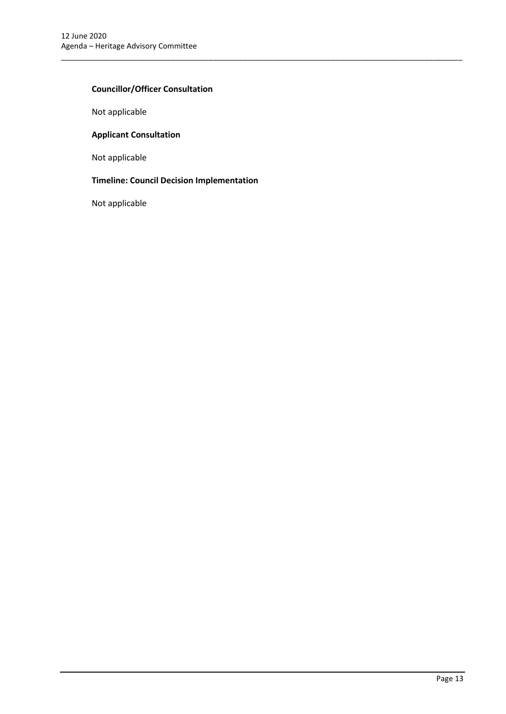# **Councillor/Officer Consultation**

Not applicable

# **Applicant Consultation**

Not applicable

# **Timeline: Council Decision Implementation**

\_\_\_\_\_\_\_\_\_\_\_\_\_\_\_\_\_\_\_\_\_\_\_\_\_\_\_\_\_\_\_\_\_\_\_\_\_\_\_\_\_\_\_\_\_\_\_\_\_\_\_\_\_\_\_\_\_\_\_\_\_\_\_\_\_\_\_\_\_\_\_\_\_\_\_\_\_\_\_\_\_\_\_\_\_\_\_\_\_\_\_\_\_\_\_

Not applicable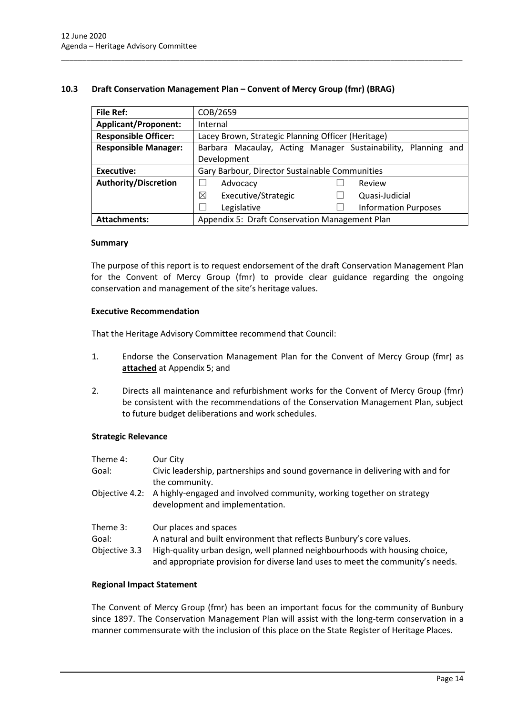# <span id="page-14-0"></span>**10.3 Draft Conservation Management Plan – Convent of Mercy Group (fmr) (BRAG)**

\_\_\_\_\_\_\_\_\_\_\_\_\_\_\_\_\_\_\_\_\_\_\_\_\_\_\_\_\_\_\_\_\_\_\_\_\_\_\_\_\_\_\_\_\_\_\_\_\_\_\_\_\_\_\_\_\_\_\_\_\_\_\_\_\_\_\_\_\_\_\_\_\_\_\_\_\_\_\_\_\_\_\_\_\_\_\_\_\_\_\_\_\_\_\_

| <b>File Ref:</b>            | COB/2659                                                         |
|-----------------------------|------------------------------------------------------------------|
| <b>Applicant/Proponent:</b> | Internal                                                         |
| <b>Responsible Officer:</b> | Lacey Brown, Strategic Planning Officer (Heritage)               |
| <b>Responsible Manager:</b> | Barbara Macaulay, Acting Manager Sustainability, Planning<br>and |
|                             | Development                                                      |
| Executive:                  | Gary Barbour, Director Sustainable Communities                   |
| <b>Authority/Discretion</b> | Advocacy<br>Review                                               |
|                             | ⊠<br>Executive/Strategic<br>Quasi-Judicial                       |
|                             | Legislative<br><b>Information Purposes</b>                       |
| <b>Attachments:</b>         | Appendix 5: Draft Conservation Management Plan                   |

### **Summary**

The purpose of this report is to request endorsement of the draft Conservation Management Plan for the Convent of Mercy Group (fmr) to provide clear guidance regarding the ongoing conservation and management of the site's heritage values.

### **Executive Recommendation**

That the Heritage Advisory Committee recommend that Council:

- 1. Endorse the Conservation Management Plan for the Convent of Mercy Group (fmr) as **attached** at Appendix 5; and
- 2. Directs all maintenance and refurbishment works for the Convent of Mercy Group (fmr) be consistent with the recommendations of the Conservation Management Plan, subject to future budget deliberations and work schedules.

### **Strategic Relevance**

| Theme 4:      | Our City                                                                                                                                                      |
|---------------|---------------------------------------------------------------------------------------------------------------------------------------------------------------|
| Goal:         | Civic leadership, partnerships and sound governance in delivering with and for<br>the community.                                                              |
|               | Objective 4.2: A highly-engaged and involved community, working together on strategy<br>development and implementation.                                       |
| Theme 3:      | Our places and spaces                                                                                                                                         |
| Goal:         | A natural and built environment that reflects Bunbury's core values.                                                                                          |
| Objective 3.3 | High-quality urban design, well planned neighbourhoods with housing choice,<br>and appropriate provision for diverse land uses to meet the community's needs. |

### **Regional Impact Statement**

The Convent of Mercy Group (fmr) has been an important focus for the community of Bunbury since 1897. The Conservation Management Plan will assist with the long-term conservation in a manner commensurate with the inclusion of this place on the State Register of Heritage Places.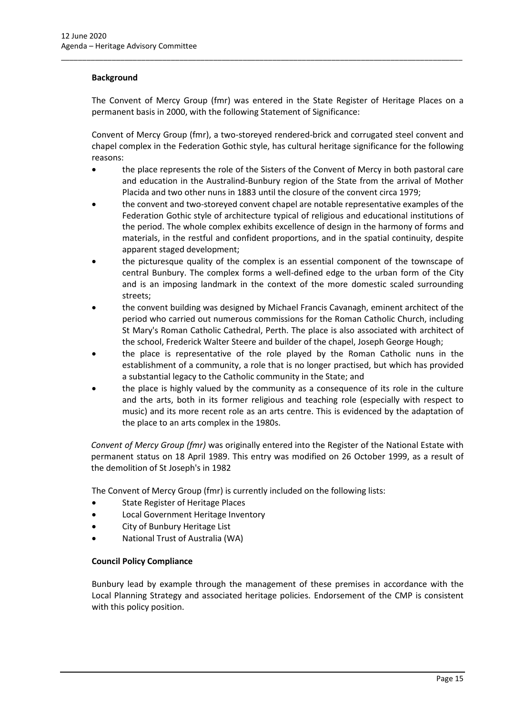# **Background**

The Convent of Mercy Group (fmr) was entered in the State Register of Heritage Places on a permanent basis in 2000, with the following Statement of Significance:

\_\_\_\_\_\_\_\_\_\_\_\_\_\_\_\_\_\_\_\_\_\_\_\_\_\_\_\_\_\_\_\_\_\_\_\_\_\_\_\_\_\_\_\_\_\_\_\_\_\_\_\_\_\_\_\_\_\_\_\_\_\_\_\_\_\_\_\_\_\_\_\_\_\_\_\_\_\_\_\_\_\_\_\_\_\_\_\_\_\_\_\_\_\_\_

Convent of Mercy Group (fmr), a two-storeyed rendered-brick and corrugated steel convent and chapel complex in the Federation Gothic style, has cultural heritage significance for the following reasons:

- the place represents the role of the Sisters of the Convent of Mercy in both pastoral care and education in the Australind-Bunbury region of the State from the arrival of Mother Placida and two other nuns in 1883 until the closure of the convent circa 1979;
- the convent and two-storeyed convent chapel are notable representative examples of the Federation Gothic style of architecture typical of religious and educational institutions of the period. The whole complex exhibits excellence of design in the harmony of forms and materials, in the restful and confident proportions, and in the spatial continuity, despite apparent staged development;
- the picturesque quality of the complex is an essential component of the townscape of central Bunbury. The complex forms a well-defined edge to the urban form of the City and is an imposing landmark in the context of the more domestic scaled surrounding streets;
- the convent building was designed by Michael Francis Cavanagh, eminent architect of the period who carried out numerous commissions for the Roman Catholic Church, including St Mary's Roman Catholic Cathedral, Perth. The place is also associated with architect of the school, Frederick Walter Steere and builder of the chapel, Joseph George Hough;
- the place is representative of the role played by the Roman Catholic nuns in the establishment of a community, a role that is no longer practised, but which has provided a substantial legacy to the Catholic community in the State; and
- the place is highly valued by the community as a consequence of its role in the culture and the arts, both in its former religious and teaching role (especially with respect to music) and its more recent role as an arts centre. This is evidenced by the adaptation of the place to an arts complex in the 1980s.

*Convent of Mercy Group (fmr)* was originally entered into the Register of the National Estate with permanent status on 18 April 1989. This entry was modified on 26 October 1999, as a result of the demolition of St Joseph's in 1982

The Convent of Mercy Group (fmr) is currently included on the following lists:

- State Register of Heritage Places
- Local Government Heritage Inventory
- City of Bunbury Heritage List
- National Trust of Australia (WA)

# **Council Policy Compliance**

Bunbury lead by example through the management of these premises in accordance with the Local Planning Strategy and associated heritage policies. Endorsement of the CMP is consistent with this policy position.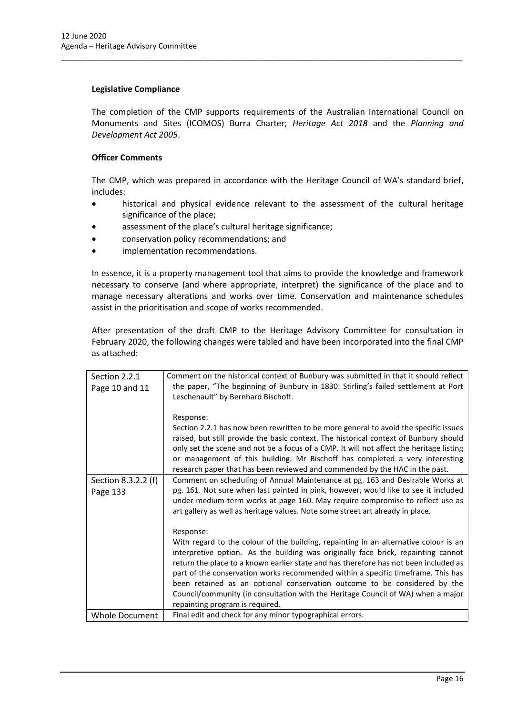# **Legislative Compliance**

The completion of the CMP supports requirements of the Australian International Council on Monuments and Sites (ICOMOS) Burra Charter; *Heritage Act 2018* and the *Planning and Development Act 2005*.

\_\_\_\_\_\_\_\_\_\_\_\_\_\_\_\_\_\_\_\_\_\_\_\_\_\_\_\_\_\_\_\_\_\_\_\_\_\_\_\_\_\_\_\_\_\_\_\_\_\_\_\_\_\_\_\_\_\_\_\_\_\_\_\_\_\_\_\_\_\_\_\_\_\_\_\_\_\_\_\_\_\_\_\_\_\_\_\_\_\_\_\_\_\_\_

# **Officer Comments**

The CMP, which was prepared in accordance with the Heritage Council of WA's standard brief, includes:

- historical and physical evidence relevant to the assessment of the cultural heritage significance of the place;
- assessment of the place's cultural heritage significance;
- conservation policy recommendations; and
- implementation recommendations.

In essence, it is a property management tool that aims to provide the knowledge and framework necessary to conserve (and where appropriate, interpret) the significance of the place and to manage necessary alterations and works over time. Conservation and maintenance schedules assist in the prioritisation and scope of works recommended.

After presentation of the draft CMP to the Heritage Advisory Committee for consultation in February 2020, the following changes were tabled and have been incorporated into the final CMP as attached:

| Section 2.2.1                   | Comment on the historical context of Bunbury was submitted in that it should reflect                                                                                                                                                                                                                                                                                                                                                                                                                                                                                   |
|---------------------------------|------------------------------------------------------------------------------------------------------------------------------------------------------------------------------------------------------------------------------------------------------------------------------------------------------------------------------------------------------------------------------------------------------------------------------------------------------------------------------------------------------------------------------------------------------------------------|
| Page 10 and 11                  | the paper, "The beginning of Bunbury in 1830: Stirling's failed settlement at Port<br>Leschenault" by Bernhard Bischoff.                                                                                                                                                                                                                                                                                                                                                                                                                                               |
|                                 | Response:<br>Section 2.2.1 has now been rewritten to be more general to avoid the specific issues<br>raised, but still provide the basic context. The historical context of Bunbury should<br>only set the scene and not be a focus of a CMP. It will not affect the heritage listing<br>or management of this building. Mr Bischoff has completed a very interesting<br>research paper that has been reviewed and commended by the HAC in the past.                                                                                                                   |
| Section 8.3.2.2 (f)<br>Page 133 | Comment on scheduling of Annual Maintenance at pg. 163 and Desirable Works at<br>pg. 161. Not sure when last painted in pink, however, would like to see it included<br>under medium-term works at page 160. May require compromise to reflect use as<br>art gallery as well as heritage values. Note some street art already in place.                                                                                                                                                                                                                                |
|                                 | Response:<br>With regard to the colour of the building, repainting in an alternative colour is an<br>interpretive option. As the building was originally face brick, repainting cannot<br>return the place to a known earlier state and has therefore has not been included as<br>part of the conservation works recommended within a specific timeframe. This has<br>been retained as an optional conservation outcome to be considered by the<br>Council/community (in consultation with the Heritage Council of WA) when a major<br>repainting program is required. |
| <b>Whole Document</b>           | Final edit and check for any minor typographical errors.                                                                                                                                                                                                                                                                                                                                                                                                                                                                                                               |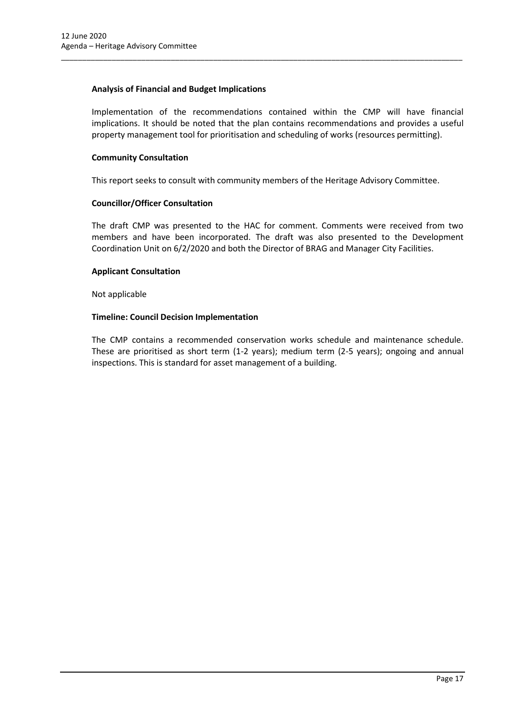# **Analysis of Financial and Budget Implications**

Implementation of the recommendations contained within the CMP will have financial implications. It should be noted that the plan contains recommendations and provides a useful property management tool for prioritisation and scheduling of works (resources permitting).

# **Community Consultation**

This report seeks to consult with community members of the Heritage Advisory Committee.

\_\_\_\_\_\_\_\_\_\_\_\_\_\_\_\_\_\_\_\_\_\_\_\_\_\_\_\_\_\_\_\_\_\_\_\_\_\_\_\_\_\_\_\_\_\_\_\_\_\_\_\_\_\_\_\_\_\_\_\_\_\_\_\_\_\_\_\_\_\_\_\_\_\_\_\_\_\_\_\_\_\_\_\_\_\_\_\_\_\_\_\_\_\_\_

# **Councillor/Officer Consultation**

The draft CMP was presented to the HAC for comment. Comments were received from two members and have been incorporated. The draft was also presented to the Development Coordination Unit on 6/2/2020 and both the Director of BRAG and Manager City Facilities.

### **Applicant Consultation**

Not applicable

# **Timeline: Council Decision Implementation**

The CMP contains a recommended conservation works schedule and maintenance schedule. These are prioritised as short term (1-2 years); medium term (2-5 years); ongoing and annual inspections. This is standard for asset management of a building.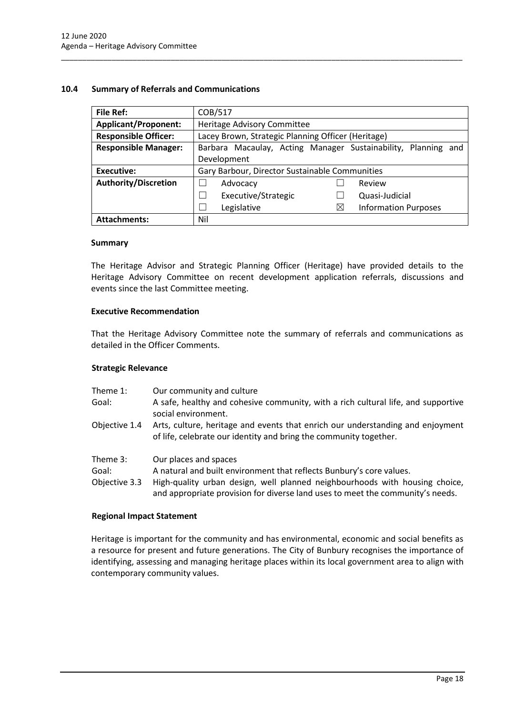# <span id="page-18-0"></span>**10.4 Summary of Referrals and Communications**

| <b>File Ref:</b>            | COB/517                                                       |  |  |  |
|-----------------------------|---------------------------------------------------------------|--|--|--|
| <b>Applicant/Proponent:</b> | Heritage Advisory Committee                                   |  |  |  |
| <b>Responsible Officer:</b> | Lacey Brown, Strategic Planning Officer (Heritage)            |  |  |  |
| <b>Responsible Manager:</b> | Barbara Macaulay, Acting Manager Sustainability, Planning and |  |  |  |
|                             | Development                                                   |  |  |  |
| Executive:                  | Gary Barbour, Director Sustainable Communities                |  |  |  |
| <b>Authority/Discretion</b> | Review<br>Advocacy                                            |  |  |  |
|                             | Executive/Strategic<br>Quasi-Judicial<br>- 1                  |  |  |  |
|                             | Legislative<br><b>Information Purposes</b><br>$\times$<br>×   |  |  |  |
| <b>Attachments:</b>         | Nil                                                           |  |  |  |

\_\_\_\_\_\_\_\_\_\_\_\_\_\_\_\_\_\_\_\_\_\_\_\_\_\_\_\_\_\_\_\_\_\_\_\_\_\_\_\_\_\_\_\_\_\_\_\_\_\_\_\_\_\_\_\_\_\_\_\_\_\_\_\_\_\_\_\_\_\_\_\_\_\_\_\_\_\_\_\_\_\_\_\_\_\_\_\_\_\_\_\_\_\_\_

### **Summary**

The Heritage Advisor and Strategic Planning Officer (Heritage) have provided details to the Heritage Advisory Committee on recent development application referrals, discussions and events since the last Committee meeting.

### **Executive Recommendation**

That the Heritage Advisory Committee note the summary of referrals and communications as detailed in the Officer Comments.

### **Strategic Relevance**

- Theme 1: Our community and culture
- Goal: A safe, healthy and cohesive community, with a rich cultural life, and supportive social environment.
- Objective 1.4 Arts, culture, heritage and events that enrich our understanding and enjoyment of life, celebrate our identity and bring the community together.
- Theme 3: Our places and spaces
- Goal: A natural and built environment that reflects Bunbury's core values.
- Objective 3.3 High-quality urban design, well planned neighbourhoods with housing choice, and appropriate provision for diverse land uses to meet the community's needs.

#### **Regional Impact Statement**

Heritage is important for the community and has environmental, economic and social benefits as a resource for present and future generations. The City of Bunbury recognises the importance of identifying, assessing and managing heritage places within its local government area to align with contemporary community values.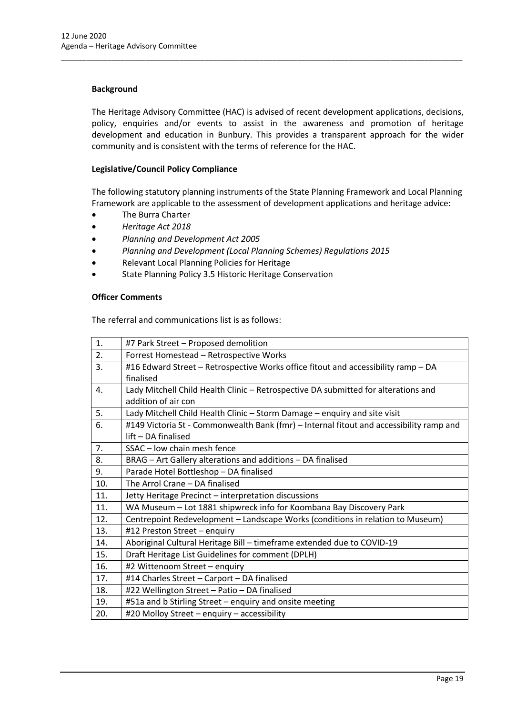# **Background**

The Heritage Advisory Committee (HAC) is advised of recent development applications, decisions, policy, enquiries and/or events to assist in the awareness and promotion of heritage development and education in Bunbury. This provides a transparent approach for the wider community and is consistent with the terms of reference for the HAC.

\_\_\_\_\_\_\_\_\_\_\_\_\_\_\_\_\_\_\_\_\_\_\_\_\_\_\_\_\_\_\_\_\_\_\_\_\_\_\_\_\_\_\_\_\_\_\_\_\_\_\_\_\_\_\_\_\_\_\_\_\_\_\_\_\_\_\_\_\_\_\_\_\_\_\_\_\_\_\_\_\_\_\_\_\_\_\_\_\_\_\_\_\_\_\_

# **Legislative/Council Policy Compliance**

The following statutory planning instruments of the State Planning Framework and Local Planning Framework are applicable to the assessment of development applications and heritage advice:

- The Burra Charter
- *Heritage Act 2018*
- *Planning and Development Act 2005*
- *Planning and Development (Local Planning Schemes) Regulations 2015*
- Relevant Local Planning Policies for Heritage
- State Planning Policy 3.5 Historic Heritage Conservation

#### **Officer Comments**

The referral and communications list is as follows:

| 1.             | #7 Park Street - Proposed demolition                                                    |  |
|----------------|-----------------------------------------------------------------------------------------|--|
| 2.             | Forrest Homestead - Retrospective Works                                                 |  |
| 3.             | #16 Edward Street - Retrospective Works office fitout and accessibility ramp - DA       |  |
|                | finalised                                                                               |  |
|                |                                                                                         |  |
| 4.             | Lady Mitchell Child Health Clinic - Retrospective DA submitted for alterations and      |  |
|                | addition of air con                                                                     |  |
| 5.             | Lady Mitchell Child Health Clinic - Storm Damage - enquiry and site visit               |  |
| 6.             | #149 Victoria St - Commonwealth Bank (fmr) – Internal fitout and accessibility ramp and |  |
|                | lift - DA finalised                                                                     |  |
| 7 <sub>1</sub> | SSAC - low chain mesh fence                                                             |  |
| 8.             | BRAG - Art Gallery alterations and additions - DA finalised                             |  |
| 9.             | Parade Hotel Bottleshop - DA finalised                                                  |  |
| 10.            | The Arrol Crane - DA finalised                                                          |  |
| 11.            | Jetty Heritage Precinct - interpretation discussions                                    |  |
| 11.            | WA Museum - Lot 1881 shipwreck info for Koombana Bay Discovery Park                     |  |
| 12.            | Centrepoint Redevelopment - Landscape Works (conditions in relation to Museum)          |  |
| 13.            | #12 Preston Street - enquiry                                                            |  |
| 14.            | Aboriginal Cultural Heritage Bill - timeframe extended due to COVID-19                  |  |
| 15.            | Draft Heritage List Guidelines for comment (DPLH)                                       |  |
| 16.            | #2 Wittenoom Street - enquiry                                                           |  |
| 17.            | #14 Charles Street - Carport - DA finalised                                             |  |
| 18.            | #22 Wellington Street - Patio - DA finalised                                            |  |
| 19.            |                                                                                         |  |
|                | #51a and b Stirling Street - enquiry and onsite meeting                                 |  |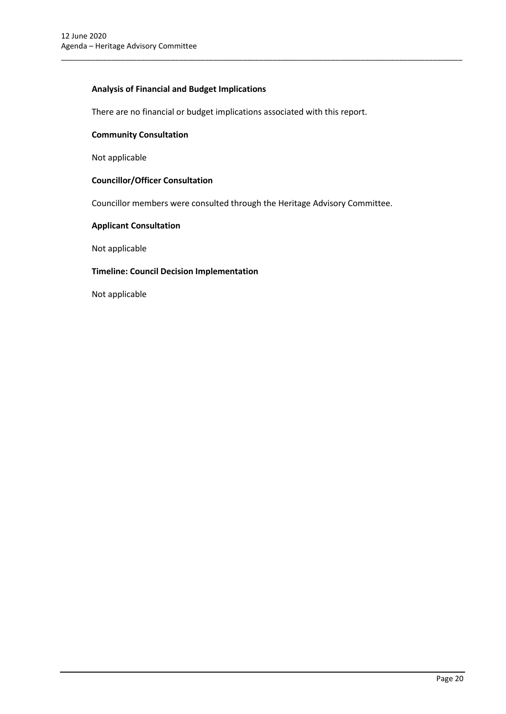# **Analysis of Financial and Budget Implications**

There are no financial or budget implications associated with this report.

\_\_\_\_\_\_\_\_\_\_\_\_\_\_\_\_\_\_\_\_\_\_\_\_\_\_\_\_\_\_\_\_\_\_\_\_\_\_\_\_\_\_\_\_\_\_\_\_\_\_\_\_\_\_\_\_\_\_\_\_\_\_\_\_\_\_\_\_\_\_\_\_\_\_\_\_\_\_\_\_\_\_\_\_\_\_\_\_\_\_\_\_\_\_\_

# **Community Consultation**

Not applicable

### **Councillor/Officer Consultation**

Councillor members were consulted through the Heritage Advisory Committee.

# **Applicant Consultation**

Not applicable

## **Timeline: Council Decision Implementation**

Not applicable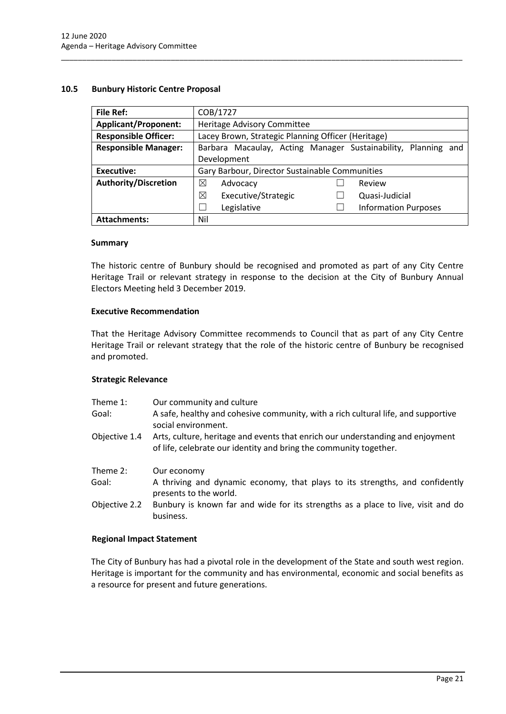# <span id="page-21-0"></span>**10.5 Bunbury Historic Centre Proposal**

| <b>File Ref:</b>            | COB/1727                                                      |  |  |  |
|-----------------------------|---------------------------------------------------------------|--|--|--|
| <b>Applicant/Proponent:</b> | Heritage Advisory Committee                                   |  |  |  |
| <b>Responsible Officer:</b> | Lacey Brown, Strategic Planning Officer (Heritage)            |  |  |  |
| <b>Responsible Manager:</b> | Barbara Macaulay, Acting Manager Sustainability, Planning and |  |  |  |
|                             | Development                                                   |  |  |  |
| Executive:                  | Gary Barbour, Director Sustainable Communities                |  |  |  |
| <b>Authority/Discretion</b> | ⊠<br>Review<br>Advocacy                                       |  |  |  |
|                             | ⊠<br>Executive/Strategic<br>Quasi-Judicial                    |  |  |  |
|                             | Legislative<br><b>Information Purposes</b>                    |  |  |  |
| <b>Attachments:</b>         | Nil                                                           |  |  |  |

\_\_\_\_\_\_\_\_\_\_\_\_\_\_\_\_\_\_\_\_\_\_\_\_\_\_\_\_\_\_\_\_\_\_\_\_\_\_\_\_\_\_\_\_\_\_\_\_\_\_\_\_\_\_\_\_\_\_\_\_\_\_\_\_\_\_\_\_\_\_\_\_\_\_\_\_\_\_\_\_\_\_\_\_\_\_\_\_\_\_\_\_\_\_\_

### **Summary**

The historic centre of Bunbury should be recognised and promoted as part of any City Centre Heritage Trail or relevant strategy in response to the decision at the City of Bunbury Annual Electors Meeting held 3 December 2019.

### **Executive Recommendation**

That the Heritage Advisory Committee recommends to Council that as part of any City Centre Heritage Trail or relevant strategy that the role of the historic centre of Bunbury be recognised and promoted.

### **Strategic Relevance**

| Theme 1:<br>Goal: | Our community and culture<br>A safe, healthy and cohesive community, with a rich cultural life, and supportive<br>social environment.               |
|-------------------|-----------------------------------------------------------------------------------------------------------------------------------------------------|
| Objective 1.4     | Arts, culture, heritage and events that enrich our understanding and enjoyment<br>of life, celebrate our identity and bring the community together. |
| Theme 2:          | Our economy                                                                                                                                         |
| Goal:             | A thriving and dynamic economy, that plays to its strengths, and confidently<br>presents to the world.                                              |
| Objective 2.2     | Bunbury is known far and wide for its strengths as a place to live, visit and do<br>business.                                                       |
|                   |                                                                                                                                                     |

### **Regional Impact Statement**

The City of Bunbury has had a pivotal role in the development of the State and south west region. Heritage is important for the community and has environmental, economic and social benefits as a resource for present and future generations.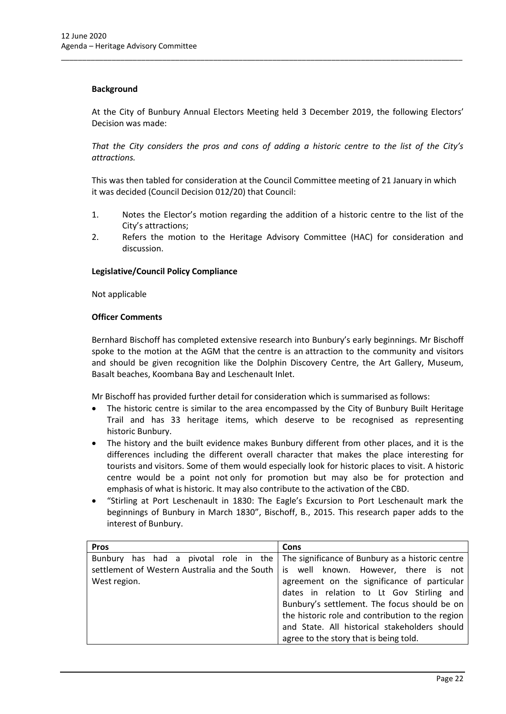## **Background**

At the City of Bunbury Annual Electors Meeting held 3 December 2019, the following Electors' Decision was made:

\_\_\_\_\_\_\_\_\_\_\_\_\_\_\_\_\_\_\_\_\_\_\_\_\_\_\_\_\_\_\_\_\_\_\_\_\_\_\_\_\_\_\_\_\_\_\_\_\_\_\_\_\_\_\_\_\_\_\_\_\_\_\_\_\_\_\_\_\_\_\_\_\_\_\_\_\_\_\_\_\_\_\_\_\_\_\_\_\_\_\_\_\_\_\_

*That the City considers the pros and cons of adding a historic centre to the list of the City's attractions.* 

This was then tabled for consideration at the Council Committee meeting of 21 January in which it was decided (Council Decision 012/20) that Council:

- 1. Notes the Elector's motion regarding the addition of a historic centre to the list of the City's attractions;
- 2. Refers the motion to the Heritage Advisory Committee (HAC) for consideration and discussion.

# **Legislative/Council Policy Compliance**

Not applicable

# **Officer Comments**

Bernhard Bischoff has completed extensive research into Bunbury's early beginnings. Mr Bischoff spoke to the motion at the AGM that the centre is an attraction to the community and visitors and should be given recognition like the Dolphin Discovery Centre, the Art Gallery, Museum, Basalt beaches, Koombana Bay and Leschenault Inlet.

Mr Bischoff has provided further detail for consideration which is summarised as follows:

- The historic centre is similar to the area encompassed by the City of Bunbury Built Heritage Trail and has 33 heritage items, which deserve to be recognised as representing historic Bunbury.
- The history and the built evidence makes Bunbury different from other places, and it is the differences including the different overall character that makes the place interesting for tourists and visitors. Some of them would especially look for historic places to visit. A historic centre would be a point not only for promotion but may also be for protection and emphasis of what is historic. It may also contribute to the activation of the CBD.
- "Stirling at Port Leschenault in 1830: The Eagle's Excursion to Port Leschenault mark the beginnings of Bunbury in March 1830", Bischoff, B., 2015. This research paper adds to the interest of Bunbury.

| <b>Pros</b>  | Cons                                                                                   |  |  |
|--------------|----------------------------------------------------------------------------------------|--|--|
|              | Bunbury has had a pivotal role in the The significance of Bunbury as a historic centre |  |  |
|              | settlement of Western Australia and the South   is well known. However, there is not   |  |  |
| West region. | agreement on the significance of particular                                            |  |  |
|              | dates in relation to Lt Gov Stirling and                                               |  |  |
|              | Bunbury's settlement. The focus should be on                                           |  |  |
|              | the historic role and contribution to the region                                       |  |  |
|              | and State. All historical stakeholders should                                          |  |  |
|              | agree to the story that is being told.                                                 |  |  |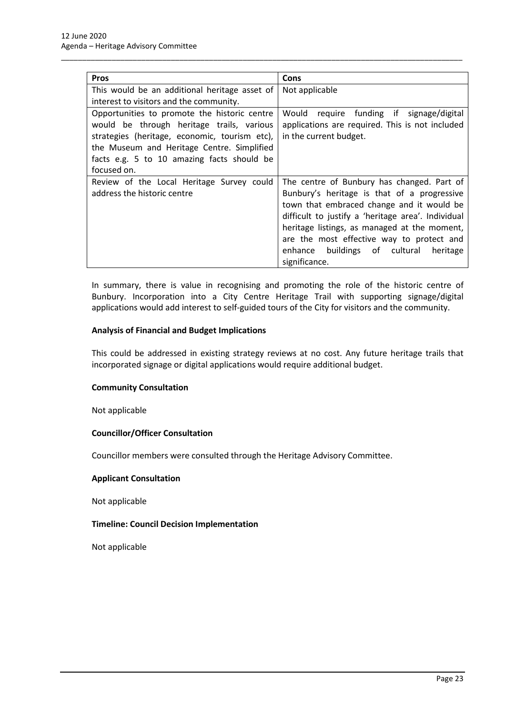| <b>Pros</b>                                   | Cons                                               |  |  |
|-----------------------------------------------|----------------------------------------------------|--|--|
| This would be an additional heritage asset of | Not applicable                                     |  |  |
| interest to visitors and the community.       |                                                    |  |  |
| Opportunities to promote the historic centre  | Would require funding if signage/digital           |  |  |
| would be through heritage trails, various     | applications are required. This is not included    |  |  |
| strategies (heritage, economic, tourism etc), | in the current budget.                             |  |  |
| the Museum and Heritage Centre. Simplified    |                                                    |  |  |
| facts e.g. 5 to 10 amazing facts should be    |                                                    |  |  |
| focused on.                                   |                                                    |  |  |
| Review of the Local Heritage Survey could     | The centre of Bunbury has changed. Part of         |  |  |
| address the historic centre                   | Bunbury's heritage is that of a progressive        |  |  |
|                                               | town that embraced change and it would be          |  |  |
|                                               | difficult to justify a 'heritage area'. Individual |  |  |
|                                               | heritage listings, as managed at the moment,       |  |  |
|                                               | are the most effective way to protect and          |  |  |
|                                               | enhance buildings of cultural<br>heritage          |  |  |
|                                               | significance.                                      |  |  |

\_\_\_\_\_\_\_\_\_\_\_\_\_\_\_\_\_\_\_\_\_\_\_\_\_\_\_\_\_\_\_\_\_\_\_\_\_\_\_\_\_\_\_\_\_\_\_\_\_\_\_\_\_\_\_\_\_\_\_\_\_\_\_\_\_\_\_\_\_\_\_\_\_\_\_\_\_\_\_\_\_\_\_\_\_\_\_\_\_\_\_\_\_\_\_

In summary, there is value in recognising and promoting the role of the historic centre of Bunbury. Incorporation into a City Centre Heritage Trail with supporting signage/digital applications would add interest to self-guided tours of the City for visitors and the community.

# **Analysis of Financial and Budget Implications**

This could be addressed in existing strategy reviews at no cost. Any future heritage trails that incorporated signage or digital applications would require additional budget.

### **Community Consultation**

Not applicable

# **Councillor/Officer Consultation**

Councillor members were consulted through the Heritage Advisory Committee.

## **Applicant Consultation**

Not applicable

### **Timeline: Council Decision Implementation**

Not applicable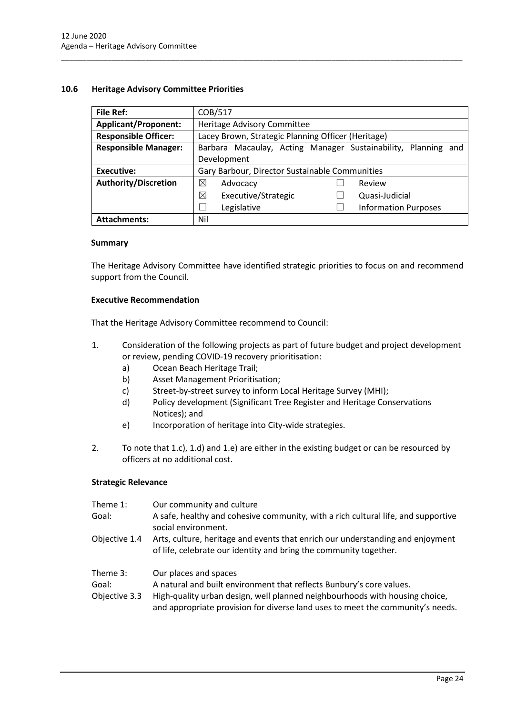# <span id="page-24-0"></span>**10.6 Heritage Advisory Committee Priorities**

| File Ref:                   | COB/517                                                          |  |  |
|-----------------------------|------------------------------------------------------------------|--|--|
| <b>Applicant/Proponent:</b> | Heritage Advisory Committee                                      |  |  |
| <b>Responsible Officer:</b> | Lacey Brown, Strategic Planning Officer (Heritage)               |  |  |
| <b>Responsible Manager:</b> | Barbara Macaulay, Acting Manager Sustainability, Planning<br>and |  |  |
|                             | Development                                                      |  |  |
| <b>Executive:</b>           | Gary Barbour, Director Sustainable Communities                   |  |  |
| <b>Authority/Discretion</b> | ⊠<br>Advocacy<br>Review                                          |  |  |
|                             | ⊠<br>Executive/Strategic<br>Quasi-Judicial                       |  |  |
|                             | <b>Information Purposes</b><br>Legislative                       |  |  |
| <b>Attachments:</b>         | Nil                                                              |  |  |

\_\_\_\_\_\_\_\_\_\_\_\_\_\_\_\_\_\_\_\_\_\_\_\_\_\_\_\_\_\_\_\_\_\_\_\_\_\_\_\_\_\_\_\_\_\_\_\_\_\_\_\_\_\_\_\_\_\_\_\_\_\_\_\_\_\_\_\_\_\_\_\_\_\_\_\_\_\_\_\_\_\_\_\_\_\_\_\_\_\_\_\_\_\_\_

### **Summary**

The Heritage Advisory Committee have identified strategic priorities to focus on and recommend support from the Council.

### **Executive Recommendation**

That the Heritage Advisory Committee recommend to Council:

- 1. Consideration of the following projects as part of future budget and project development or review, pending COVID-19 recovery prioritisation:
	- a) Ocean Beach Heritage Trail;
	- b) Asset Management Prioritisation;
	- c) Street-by-street survey to inform Local Heritage Survey (MHI);
	- d) Policy development (Significant Tree Register and Heritage Conservations Notices); and
	- e) Incorporation of heritage into City-wide strategies.
- 2. To note that 1.c), 1.d) and 1.e) are either in the existing budget or can be resourced by officers at no additional cost.

### **Strategic Relevance**

| Theme 1:<br>Goal:                  | Our community and culture<br>A safe, healthy and cohesive community, with a rich cultural life, and supportive<br>social environment.                                                                                                                          |
|------------------------------------|----------------------------------------------------------------------------------------------------------------------------------------------------------------------------------------------------------------------------------------------------------------|
| Objective 1.4                      | Arts, culture, heritage and events that enrich our understanding and enjoyment<br>of life, celebrate our identity and bring the community together.                                                                                                            |
| Theme 3:<br>Goal:<br>Objective 3.3 | Our places and spaces<br>A natural and built environment that reflects Bunbury's core values.<br>High-quality urban design, well planned neighbourhoods with housing choice,<br>and appropriate provision for diverse land uses to meet the community's needs. |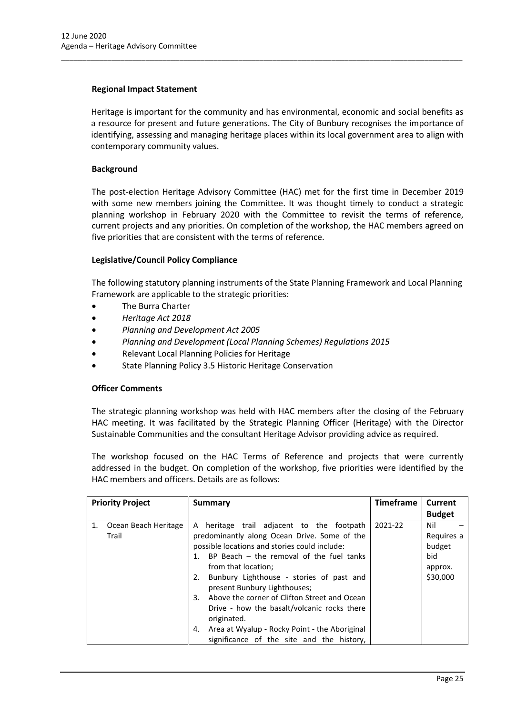# **Regional Impact Statement**

Heritage is important for the community and has environmental, economic and social benefits as a resource for present and future generations. The City of Bunbury recognises the importance of identifying, assessing and managing heritage places within its local government area to align with contemporary community values.

\_\_\_\_\_\_\_\_\_\_\_\_\_\_\_\_\_\_\_\_\_\_\_\_\_\_\_\_\_\_\_\_\_\_\_\_\_\_\_\_\_\_\_\_\_\_\_\_\_\_\_\_\_\_\_\_\_\_\_\_\_\_\_\_\_\_\_\_\_\_\_\_\_\_\_\_\_\_\_\_\_\_\_\_\_\_\_\_\_\_\_\_\_\_\_

# **Background**

The post-election Heritage Advisory Committee (HAC) met for the first time in December 2019 with some new members joining the Committee. It was thought timely to conduct a strategic planning workshop in February 2020 with the Committee to revisit the terms of reference, current projects and any priorities. On completion of the workshop, the HAC members agreed on five priorities that are consistent with the terms of reference.

# **Legislative/Council Policy Compliance**

The following statutory planning instruments of the State Planning Framework and Local Planning Framework are applicable to the strategic priorities:

- The Burra Charter
- *Heritage Act 2018*
- *Planning and Development Act 2005*
- *Planning and Development (Local Planning Schemes) Regulations 2015*
- Relevant Local Planning Policies for Heritage
- State Planning Policy 3.5 Historic Heritage Conservation

### **Officer Comments**

The strategic planning workshop was held with HAC members after the closing of the February HAC meeting. It was facilitated by the Strategic Planning Officer (Heritage) with the Director Sustainable Communities and the consultant Heritage Advisor providing advice as required.

The workshop focused on the HAC Terms of Reference and projects that were currently addressed in the budget. On completion of the workshop, five priorities were identified by the HAC members and officers. Details are as follows:

| <b>Priority Project</b>             | Summary                                                                                                                                                                                                                                                                                                                                                                                                                                                                                                                       | <b>Timeframe</b> | Current                                                   |
|-------------------------------------|-------------------------------------------------------------------------------------------------------------------------------------------------------------------------------------------------------------------------------------------------------------------------------------------------------------------------------------------------------------------------------------------------------------------------------------------------------------------------------------------------------------------------------|------------------|-----------------------------------------------------------|
|                                     |                                                                                                                                                                                                                                                                                                                                                                                                                                                                                                                               |                  | <b>Budget</b>                                             |
| 1.<br>Ocean Beach Heritage<br>Trail | heritage trail adjacent to the footpath<br>A<br>predominantly along Ocean Drive. Some of the<br>possible locations and stories could include:<br>1. BP Beach – the removal of the fuel tanks<br>from that location;<br>Bunbury Lighthouse - stories of past and<br>2.<br>present Bunbury Lighthouses;<br>Above the corner of Clifton Street and Ocean<br>3.<br>Drive - how the basalt/volcanic rocks there<br>originated.<br>Area at Wyalup - Rocky Point - the Aboriginal<br>4.<br>significance of the site and the history, | 2021-22          | Nil<br>Requires a<br>budget<br>bid<br>approx.<br>\$30,000 |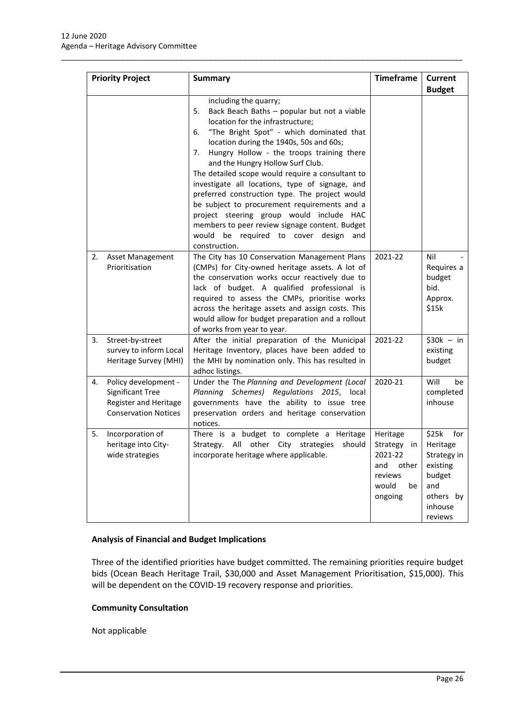|    | <b>Priority Project</b>                                                                                 | <b>Summary</b>                                                                                                                                                                                                                                                                                                                                                                                                                                                                                                                                                                                                                                                         | <b>Timeframe</b>                                                                        | <b>Current</b><br><b>Budget</b>                                                                         |
|----|---------------------------------------------------------------------------------------------------------|------------------------------------------------------------------------------------------------------------------------------------------------------------------------------------------------------------------------------------------------------------------------------------------------------------------------------------------------------------------------------------------------------------------------------------------------------------------------------------------------------------------------------------------------------------------------------------------------------------------------------------------------------------------------|-----------------------------------------------------------------------------------------|---------------------------------------------------------------------------------------------------------|
|    |                                                                                                         | including the quarry;<br>Back Beach Baths - popular but not a viable<br>5.<br>location for the infrastructure;<br>"The Bright Spot" - which dominated that<br>6.<br>location during the 1940s, 50s and 60s;<br>Hungry Hollow - the troops training there<br>7.<br>and the Hungry Hollow Surf Club.<br>The detailed scope would require a consultant to<br>investigate all locations, type of signage, and<br>preferred construction type. The project would<br>be subject to procurement requirements and a<br>project steering group would include HAC<br>members to peer review signage content. Budget<br>would be required to cover design<br>and<br>construction. |                                                                                         |                                                                                                         |
| 2. | <b>Asset Management</b><br>Prioritisation                                                               | The City has 10 Conservation Management Plans<br>(CMPs) for City-owned heritage assets. A lot of<br>the conservation works occur reactively due to<br>lack of budget. A qualified professional is<br>required to assess the CMPs, prioritise works<br>across the heritage assets and assign costs. This<br>would allow for budget preparation and a rollout<br>of works from year to year.                                                                                                                                                                                                                                                                             | 2021-22                                                                                 | Nil<br>Requires a<br>budget<br>bid.<br>Approx.<br>\$15k                                                 |
| 3. | Street-by-street<br>survey to inform Local<br>Heritage Survey (MHI)                                     | After the initial preparation of the Municipal<br>Heritage Inventory, places have been added to<br>the MHI by nomination only. This has resulted in<br>adhoc listings.                                                                                                                                                                                                                                                                                                                                                                                                                                                                                                 | 2021-22                                                                                 | $$30k - in$<br>existing<br>budget                                                                       |
| 4. | Policy development -<br><b>Significant Tree</b><br>Register and Heritage<br><b>Conservation Notices</b> | Under the The Planning and Development (Local<br>Planning Schemes) Regulations 2015, local<br>governments have the ability to issue tree<br>preservation orders and heritage conservation<br>notices.                                                                                                                                                                                                                                                                                                                                                                                                                                                                  | 2020-21                                                                                 | Will<br>be<br>completed<br>inhouse                                                                      |
| 5. | Incorporation of<br>heritage into City-<br>wide strategies                                              | There is a budget to complete a Heritage<br>All other City<br>Strategy.<br>strategies<br>should<br>incorporate heritage where applicable.                                                                                                                                                                                                                                                                                                                                                                                                                                                                                                                              | Heritage<br>Strategy in<br>2021-22<br>other<br>and<br>reviews<br>would<br>be<br>ongoing | \$25k<br>for<br>Heritage<br>Strategy in<br>existing<br>budget<br>and<br>others by<br>inhouse<br>reviews |

\_\_\_\_\_\_\_\_\_\_\_\_\_\_\_\_\_\_\_\_\_\_\_\_\_\_\_\_\_\_\_\_\_\_\_\_\_\_\_\_\_\_\_\_\_\_\_\_\_\_\_\_\_\_\_\_\_\_\_\_\_\_\_\_\_\_\_\_\_\_\_\_\_\_\_\_\_\_\_\_\_\_\_\_\_\_\_\_\_\_\_\_\_\_\_

# **Analysis of Financial and Budget Implications**

Three of the identified priorities have budget committed. The remaining priorities require budget bids (Ocean Beach Heritage Trail, \$30,000 and Asset Management Prioritisation, \$15,000). This will be dependent on the COVID-19 recovery response and priorities.

### **Community Consultation**

Not applicable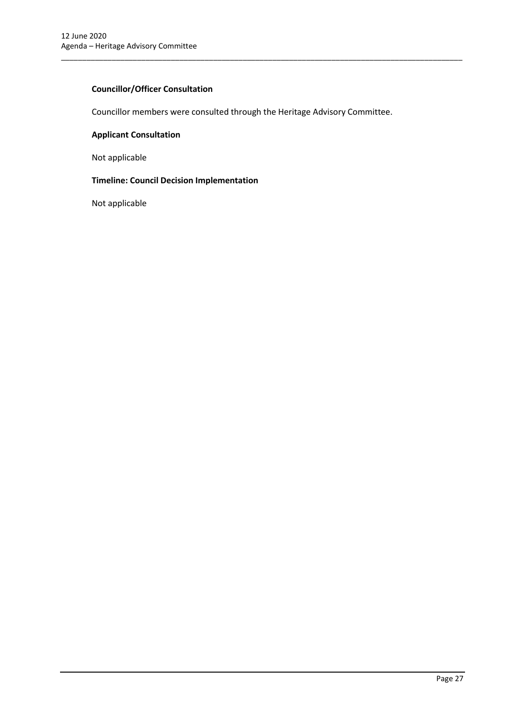# **Councillor/Officer Consultation**

Councillor members were consulted through the Heritage Advisory Committee.

\_\_\_\_\_\_\_\_\_\_\_\_\_\_\_\_\_\_\_\_\_\_\_\_\_\_\_\_\_\_\_\_\_\_\_\_\_\_\_\_\_\_\_\_\_\_\_\_\_\_\_\_\_\_\_\_\_\_\_\_\_\_\_\_\_\_\_\_\_\_\_\_\_\_\_\_\_\_\_\_\_\_\_\_\_\_\_\_\_\_\_\_\_\_\_

# **Applicant Consultation**

Not applicable

#### **Timeline: Council Decision Implementation**

Not applicable